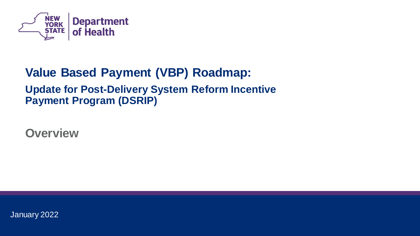

# **Value Based Payment (VBP) Roadmap: Update for Post-Delivery System Reform Incentive Payment Program (DSRIP)**

**Overview**

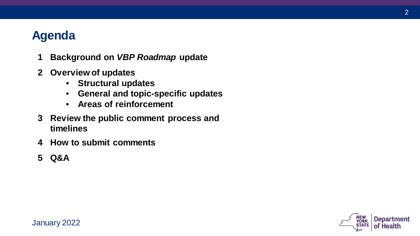# **Agenda**

- **1 Background on** *VBP Roadmap* **update**
- **2 Overview of updates**
	- **Structural updates**
	- **General and topic-specific updates**
	- **Areas of reinforcement**
- **3 Review the public comment process and timelines**
- **4 How to submit comments**
- **5 Q&A**

January 2022



2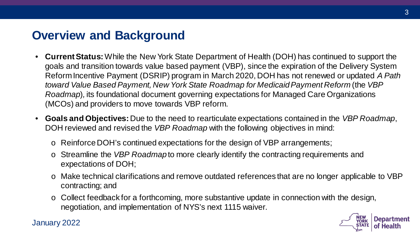### **Overview and Background**

- **Current Status:** While the New York State Department of Health (DOH) has continued to support the goals and transition towards value based payment (VBP), since the expiration of the Delivery System Reform Incentive Payment (DSRIP) program in March 2020, DOH has not renewed or updated *A Path toward Value Based Payment, New York State Roadmap for Medicaid Payment Reform* (the *VBP Roadmap*)*,* its foundational document governing expectations for Managed Care Organizations (MCOs) and providers to move towards VBP reform.
- **Goals and Objectives:** Due to the need to rearticulate expectations contained in the *VBP Roadmap*, DOH reviewed and revised the *VBP Roadmap* with the following objectives in mind:
	- o Reinforce DOH's continued expectations for the design of VBP arrangements;
	- o Streamline the *VBP Roadmap* to more clearly identify the contracting requirements and expectations of DOH;
	- o Make technical clarifications and remove outdated references that are no longer applicable to VBP contracting; and
	- $\circ$  Collect feedback for a forthcoming, more substantive update in connection with the design, negotiation, and implementation of NYS's next 1115 waiver.

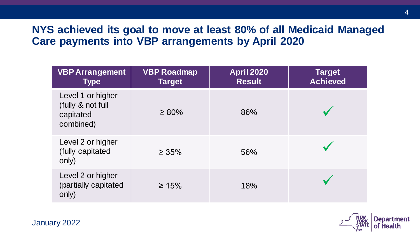### **NYS achieved its goal to move at least 80% of all Medicaid Managed Care payments into VBP arrangements by April 2020**

| <b>VBP Arrangement</b><br><b>Type</b>                            | <b>VBP Roadmap</b><br><b>Target</b> | <b>April 2020</b><br><b>Result</b> | <b>Target</b><br><b>Achieved</b> |
|------------------------------------------------------------------|-------------------------------------|------------------------------------|----------------------------------|
| Level 1 or higher<br>(fully & not full<br>capitated<br>combined) | $\geq 80\%$                         | 86%                                |                                  |
| Level 2 or higher<br>(fully capitated<br>only)                   | $\geq 35\%$                         | 56%                                |                                  |
| Level 2 or higher<br>(partially capitated<br>only)               | $\geq 15\%$                         | 18%                                |                                  |

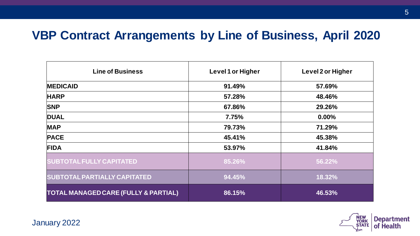### **VBP Contract Arrangements by Line of Business, April 2020**

| <b>Line of Business</b>                         | Level 1 or Higher | Level 2 or Higher |
|-------------------------------------------------|-------------------|-------------------|
| <b>MEDICAID</b>                                 | 91.49%            | 57.69%            |
| <b>HARP</b>                                     | 57.28%            | 48.46%            |
| <b>SNP</b>                                      | 67.86%            | 29.26%            |
| <b>DUAL</b>                                     | 7.75%             | $0.00\%$          |
| <b>MAP</b>                                      | 79.73%            | 71.29%            |
| <b>PACE</b>                                     | 45.41%            | 45.38%            |
| <b>FIDA</b>                                     | 53.97%            | 41.84%            |
| <b>SUBTOTAL FULLY CAPITATED</b>                 | 85.26%            | 56.22%            |
| <b>SUBTOTAL PARTIALLY CAPITATED</b>             | 94.45%            | 18.32%            |
| <b>TOTAL MANAGED CARE (FULLY &amp; PARTIAL)</b> | 86.15%            | 46.53%            |

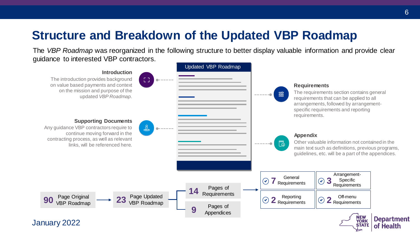# **Structure and Breakdown of the Updated VBP Roadmap**

The *VBP Roadmap* was reorganized in the following structure to better display valuable information and provide clear guidance to interested VBP contractors.

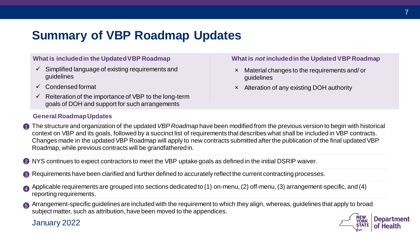# **Summary of VBP Roadmap Updates**

#### **What is included in the Updated VBP Roadmap**

- $\checkmark$  Simplified language of existing requirements and guidelines
- Condensed format
- $\checkmark$  Reiteration of the importance of VBP to the long-term goals of DOH and support for such arrangements

### **General Roadmap Updates**

#### **What is** *not* **included in the Updated VBP Roadmap**

- Material changes to the requirements and/ or guidelines
- Alteration of any existing DOH authority

- The structure and organization of the updated *VBP Roadmap* have been modified from the previous version to begin with historical context on VBP and its goals, followed by a succinct list of requirements that describes what shall be included in VBP contracts. Changes made in the updated VBP Roadmap will apply to new contracts submitted after the publication of the final updated VBP Roadmap, while previous contracts will be grandfathered in. 1
- 2 NYS continues to expect contractors to meet the VBP uptake goals as defined in the initial DSRIP waiver.
- Requirements have been clarified and further defined to accurately reflect the current contracting processes. 3
- Applicable requirements are grouped into sections dedicated to (1) on-menu, (2) off-menu, (3) arrangement-specific, and (4) reporting requirements. 4

<sup>5</sup> Arrangement-specific guidelines are included with the requirement to which they align, whereas, guidelines that apply to broad subject matter, such as attribution, have been moved to the appendices.

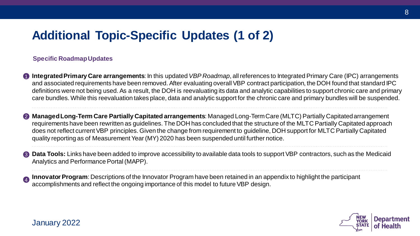# **Additional Topic-Specific Updates (1 of 2)**

### **Specific Roadmap Updates**

- **1** Integrated Primary Care arrangements: In this updated *VBP Roadmap*, all references to Integrated Primary Care (IPC) arrangements and associated requirements have been removed. After evaluating overall VBP contract participation, the DOH found that standard IPC definitions were not being used. As a result, the DOH is reevaluating its data and analytic capabilities to support chronic care and primary care bundles. While this reevaluation takes place, data and analytic support for the chronic care and primary bundles will be suspended.
- **Managed Long-Term Care Partially Capitated arrangements**: Managed Long-Term Care (MLTC) Partially Capitated arrangement 2 requirements have been rewritten as guidelines. The DOH has concluded that the structure of the MLTC Partially Capitated approach does not reflect current VBP principles. Given the change from requirement to guideline, DOH support for MLTC Partially Capitated quality reporting as of Measurement Year (MY) 2020 has been suspended until further notice.
- **3 Data Tools:** Links have been added to improve accessibility to available data tools to support VBP contractors, such as the Medicaid Analytics and Performance Portal (MAPP).
- **Innovator Program**: Descriptions of the Innovator Program have been retained in an appendix to highlight the participant accomplishments and reflect the ongoing importance of this model to future VBP design. 4

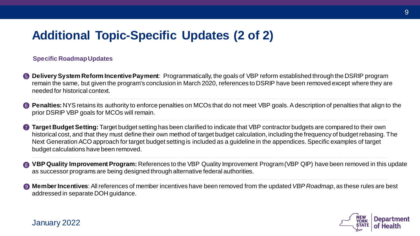# **Additional Topic-Specific Updates (2 of 2)**

### **Specific Roadmap Updates**

January 2022

- **Delivery System Reform Incentive Payment**: Programmatically, the goals of VBP reform established through the DSRIP program 5 remain the same, but given the program's conclusion in March 2020, references to DSRIP have been removed except where they are needed for historical context.
- **6** Penalties: NYS retains its authority to enforce penalties on MCOs that do not meet VBP goals. A description of penalties that align to the prior DSRIP VBP goals for MCOs will remain.
- 7 **Target Budget Setting:** Target budget setting has been clarified to indicate that VBP contractor budgets are compared to their own historical cost, and that they must define their own method of target budget calculation, including the frequency of budget rebasing. The Next Generation ACO approach for target budget setting is included as a guideline in the appendices. Specific examples of target budget calculations have been removed.
- **VBP Quality Improvement Program:** References to the VBP Quality Improvement Program (VBP QIP) have been removed in this update as successor programs are being designed through alternative federal authorities. 8
- **Member Incentives**: All references of member incentives have been removed from the updated *VBP Roadmap*, as these rules are best addressed in separate DOH guidance. 9



9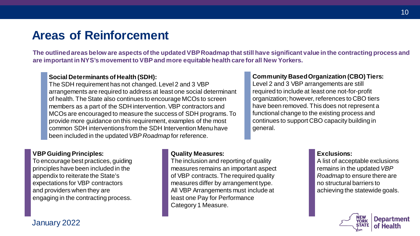### **Areas of Reinforcement**

**The outlined areas below are aspects of the updated VBP Roadmap that still have significant value in the contracting process and are important in NYS's movement to VBP and more equitable health care for all New Yorkers.** 

#### **Social Determinants of Health (SDH):**

The SDH requirement has not changed. Level 2 and 3 VBP arrangements are required to address at least one social determinant of health. The State also continues to encourage MCOs to screen members as a part of the SDH intervention. VBP contractors and MCOs are encouraged to measure the success of SDH programs. To provide more guidance on this requirement, examples of the most common SDH interventions from the SDH Intervention Menu have been included in the updated *VBP Roadmap* for reference.

#### **Community Based Organization (CBO) Tiers:**

Level 2 and 3 VBP arrangements are still required to include at least one not-for-profit organization; however, references to CBO tiers have been removed. This does not represent a functional change to the existing process and continues to support CBO capacity building in general.

#### **VBP Guiding Principles:**

January 2022

To encourage best practices, guiding principles have been included in the appendix to reiterate the State's expectations for VBP contractors and providers when they are engaging in the contracting process.

### **Quality Measures:**

The inclusion and reporting of quality measures remains an important aspect of VBP contracts. The required quality measures differ by arrangement type. All VBP Arrangements must include at least one Pay for Performance Category 1 Measure.

#### **Exclusions:**

A list of acceptable exclusions remains in the updated *VBP Roadmap* to ensure there are no structural barriers to achieving the statewide goals.

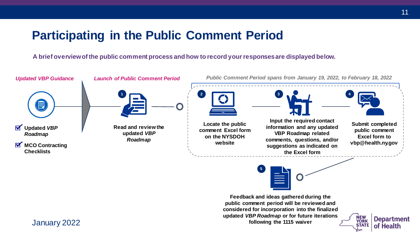### **Participating in the Public Comment Period**

**A brief overview of the public comment process and how to record your responses are displayed below.**

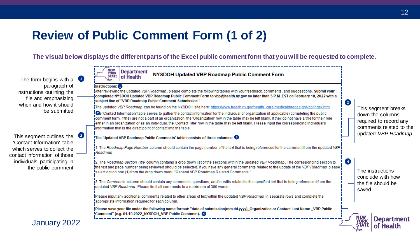# **Review of Public Comment Form (1 of 2)**

**The visual below displays the different parts of the Excel public comment form that you will be requested to complete.** 

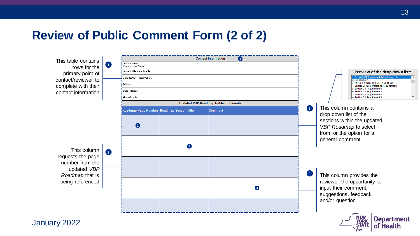### **Review of Public Comment Form (2 of 2)**



January 2022

**STATE** 

of Health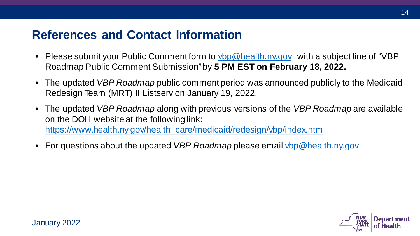### **References and Contact Information**

- Please submit your Public Comment form to [vbp@health.ny.gov](mailto:vbp@health.ny.gov) with a subject line of "VBP Roadmap Public Comment Submission" by **5 PM EST on February 18, 2022.**
- The updated *VBP Roadmap* public comment period was announced publicly to the Medicaid Redesign Team (MRT) II Listserv on January 19, 2022.
- The updated *VBP Roadmap* along with previous versions of the *VBP Roadmap* are available on the DOH website at the following link: [https://www.health.ny.gov/health\\_care/medicaid/redesign/vbp/index.htm](https://www.health.ny.gov/health_care/medicaid/redesign/vbp/index.htm)
- For questions about the updated *VBP Roadmap* please email *vbp@health.ny.gov*